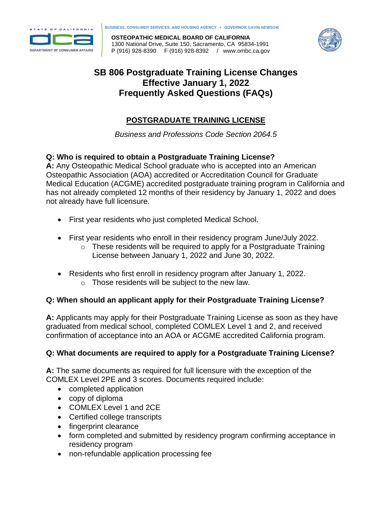

**BUSINESS, CONSUMER SERVICES, AND HOUSING AGENCY • GOVERNOR GAVIN NEWSOM**

**OSTEOPATHIC MEDICAL BOARD OF CALIFORNIA** 1300 National Drive, Suite 150, Sacramento, CA 95834-1991 P (916) 928-8390 F (916) 928-8392 / www.ombc.ca.gov



# **SB 806 Postgraduate Training License Changes Effective January 1, 2022 Frequently Asked Questions (FAQs)**

# **POSTGRADUATE TRAINING LICENSE**

*Business and Professions Code Section 2064.5*

## **Q: Who is required to obtain a Postgraduate Training License?**

**A:** Any Osteopathic Medical School graduate who is accepted into an American Osteopathic Association (AOA) accredited or Accreditation Council for Graduate Medical Education (ACGME) accredited postgraduate training program in California and has not already completed 12 months of their residency by January 1, 2022 and does not already have full licensure.

- First year residents who just completed Medical School.
- First year residents who enroll in their residency program June/July 2022.
	- o These residents will be required to apply for a Postgraduate Training License between January 1, 2022 and June 30, 2022.
- Residents who first enroll in residency program after January 1, 2022.
	- o Those residents will be subject to the new law.

## **Q: When should an applicant apply for their Postgraduate Training License?**

**A:** Applicants may apply for their Postgraduate Training License as soon as they have graduated from medical school, completed COMLEX Level 1 and 2, and received confirmation of acceptance into an AOA or ACGME accredited California program.

## **Q: What documents are required to apply for a Postgraduate Training License?**

**A:** The same documents as required for full licensure with the exception of the COMLEX Level 2PE and 3 scores. Documents required include:

- completed application
- copy of diploma
- COMLEX Level 1 and 2CE
- Certified college transcripts
- fingerprint clearance
- form completed and submitted by residency program confirming acceptance in residency program
- non-refundable application processing fee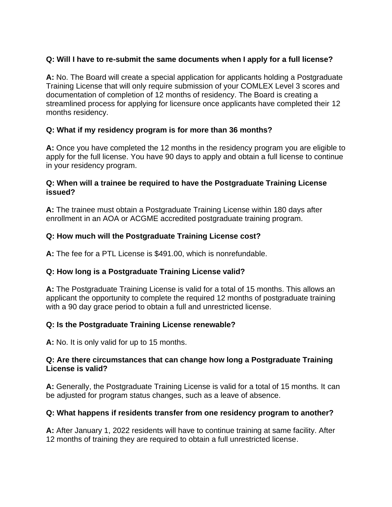## **Q: Will I have to re-submit the same documents when I apply for a full license?**

**A:** No. The Board will create a special application for applicants holding a Postgraduate Training License that will only require submission of your COMLEX Level 3 scores and documentation of completion of 12 months of residency. The Board is creating a streamlined process for applying for licensure once applicants have completed their 12 months residency.

## **Q: What if my residency program is for more than 36 months?**

**A:** Once you have completed the 12 months in the residency program you are eligible to apply for the full license. You have 90 days to apply and obtain a full license to continue in your residency program.

#### **Q: When will a trainee be required to have the Postgraduate Training License issued?**

**A:** The trainee must obtain a Postgraduate Training License within 180 days after enrollment in an AOA or ACGME accredited postgraduate training program.

## **Q: How much will the Postgraduate Training License cost?**

**A:** The fee for a PTL License is \$491.00, which is nonrefundable.

## **Q: How long is a Postgraduate Training License valid?**

**A:** The Postgraduate Training License is valid for a total of 15 months. This allows an applicant the opportunity to complete the required 12 months of postgraduate training with a 90 day grace period to obtain a full and unrestricted license.

## **Q: Is the Postgraduate Training License renewable?**

**A:** No. It is only valid for up to 15 months.

### **Q: Are there circumstances that can change how long a Postgraduate Training License is valid?**

**A:** Generally, the Postgraduate Training License is valid for a total of 15 months. It can be adjusted for program status changes, such as a leave of absence.

## **Q: What happens if residents transfer from one residency program to another?**

**A:** After January 1, 2022 residents will have to continue training at same facility. After 12 months of training they are required to obtain a full unrestricted license.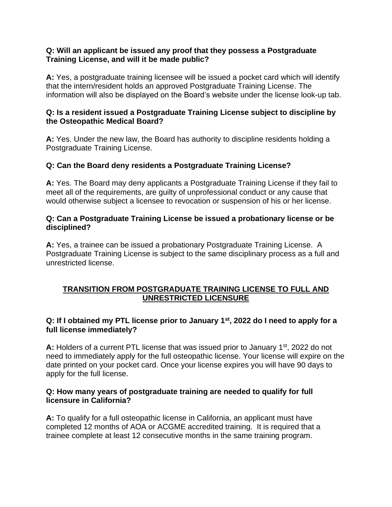#### **Q: Will an applicant be issued any proof that they possess a Postgraduate Training License, and will it be made public?**

**A:** Yes, a postgraduate training licensee will be issued a pocket card which will identify that the intern/resident holds an approved Postgraduate Training License. The information will also be displayed on the Board's website under the license look-up tab.

#### **Q: Is a resident issued a Postgraduate Training License subject to discipline by the Osteopathic Medical Board?**

**A:** Yes. Under the new law, the Board has authority to discipline residents holding a Postgraduate Training License.

## **Q: Can the Board deny residents a Postgraduate Training License?**

**A:** Yes. The Board may deny applicants a Postgraduate Training License if they fail to meet all of the requirements, are guilty of unprofessional conduct or any cause that would otherwise subject a licensee to revocation or suspension of his or her license.

#### **Q: Can a Postgraduate Training License be issued a probationary license or be disciplined?**

**A:** Yes, a trainee can be issued a probationary Postgraduate Training License. A Postgraduate Training License is subject to the same disciplinary process as a full and unrestricted license.

## **TRANSITION FROM POSTGRADUATE TRAINING LICENSE TO FULL AND UNRESTRICTED LICENSURE**

### **Q: If I obtained my PTL license prior to January 1st, 2022 do I need to apply for a full license immediately?**

**A:** Holders of a current PTL license that was issued prior to January 1<sup>st</sup>, 2022 do not need to immediately apply for the full osteopathic license. Your license will expire on the date printed on your pocket card. Once your license expires you will have 90 days to apply for the full license.

#### **Q: How many years of postgraduate training are needed to qualify for full licensure in California?**

**A:** To qualify for a full osteopathic license in California, an applicant must have completed 12 months of AOA or ACGME accredited training. It is required that a trainee complete at least 12 consecutive months in the same training program.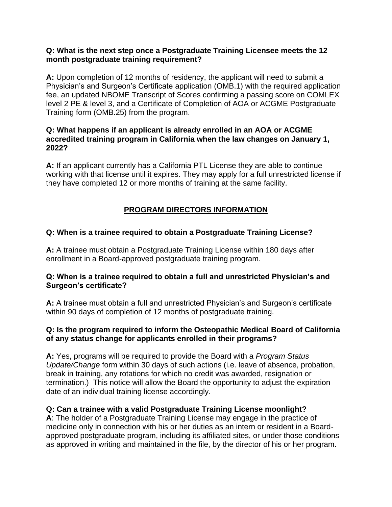#### **Q: What is the next step once a Postgraduate Training Licensee meets the 12 month postgraduate training requirement?**

**A:** Upon completion of 12 months of residency, the applicant will need to submit a Physician's and Surgeon's Certificate application (OMB.1) with the required application fee, an updated NBOME Transcript of Scores confirming a passing score on COMLEX level 2 PE & level 3, and a Certificate of Completion of AOA or ACGME Postgraduate Training form (OMB.25) from the program.

#### **Q: What happens if an applicant is already enrolled in an AOA or ACGME accredited training program in California when the law changes on January 1, 2022?**

**A:** If an applicant currently has a California PTL License they are able to continue working with that license until it expires. They may apply for a full unrestricted license if they have completed 12 or more months of training at the same facility.

## **PROGRAM DIRECTORS INFORMATION**

#### **Q: When is a trainee required to obtain a Postgraduate Training License?**

**A:** A trainee must obtain a Postgraduate Training License within 180 days after enrollment in a Board-approved postgraduate training program.

#### **Q: When is a trainee required to obtain a full and unrestricted Physician's and Surgeon's certificate?**

**A:** A trainee must obtain a full and unrestricted Physician's and Surgeon's certificate within 90 days of completion of 12 months of postgraduate training.

#### **Q: Is the program required to inform the Osteopathic Medical Board of California of any status change for applicants enrolled in their programs?**

**A:** Yes, programs will be required to provide the Board with a *Program Status Update/Change* form within 30 days of such actions (i.e. leave of absence, probation, break in training, any rotations for which no credit was awarded, resignation or termination.) This notice will allow the Board the opportunity to adjust the expiration date of an individual training license accordingly.

#### **Q: Can a trainee with a valid Postgraduate Training License moonlight?**

**A**: The holder of a Postgraduate Training License may engage in the practice of medicine only in connection with his or her duties as an intern or resident in a Boardapproved postgraduate program, including its affiliated sites, or under those conditions as approved in writing and maintained in the file, by the director of his or her program.